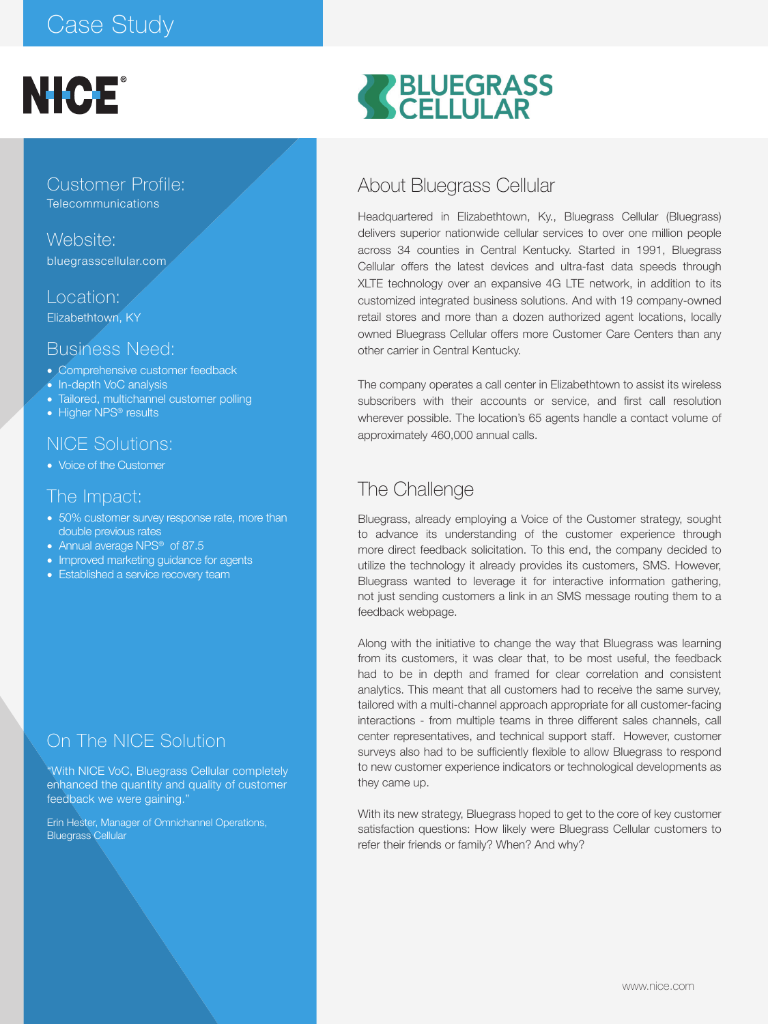# Case Study



Customer Profile: **Telecommunications** 

Website: bluegrasscellular.com

Location: Elizabethtown, KY

## Business Need:

- Comprehensive customer feedback
- In-depth VoC analysis
- Tailored, multichannel customer polling
- Higher NPS<sup>®</sup> results

#### NICE Solutions:

• Voice of the Customer

#### The Impact:

- 50% customer survey response rate, more than double previous rates
- Annual average NPS<sup>®</sup> of 87.5
- Improved marketing guidance for agents
- Established a service recovery team

# On The NICE Solution

"With NICE VoC, Bluegrass Cellular completely enhanced the quantity and quality of customer feedback we were gaining."

Erin Hester, Manager of Omnichannel Operations, Bluegrass Cellular

# RELUEGRASS

## About Bluegrass Cellular

Headquartered in Elizabethtown, Ky., Bluegrass Cellular (Bluegrass) delivers superior nationwide cellular services to over one million people across 34 counties in Central Kentucky. Started in 1991, Bluegrass Cellular offers the latest devices and ultra-fast data speeds through XLTE technology over an expansive 4G LTE network, in addition to its customized integrated business solutions. And with 19 company-owned retail stores and more than a dozen authorized agent locations, locally owned Bluegrass Cellular offers more Customer Care Centers than any other carrier in Central Kentucky.

The company operates a call center in Elizabethtown to assist its wireless subscribers with their accounts or service, and first call resolution wherever possible. The location's 65 agents handle a contact volume of approximately 460,000 annual calls.

# The Challenge

Bluegrass, already employing a Voice of the Customer strategy, sought to advance its understanding of the customer experience through more direct feedback solicitation. To this end, the company decided to utilize the technology it already provides its customers, SMS. However, Bluegrass wanted to leverage it for interactive information gathering, not just sending customers a link in an SMS message routing them to a feedback webpage.

Along with the initiative to change the way that Bluegrass was learning from its customers, it was clear that, to be most useful, the feedback had to be in depth and framed for clear correlation and consistent analytics. This meant that all customers had to receive the same survey, tailored with a multi-channel approach appropriate for all customer-facing interactions - from multiple teams in three different sales channels, call center representatives, and technical support staff. However, customer surveys also had to be sufficiently flexible to allow Bluegrass to respond to new customer experience indicators or technological developments as they came up.

With its new strategy, Bluegrass hoped to get to the core of key customer satisfaction questions: How likely were Bluegrass Cellular customers to refer their friends or family? When? And why?